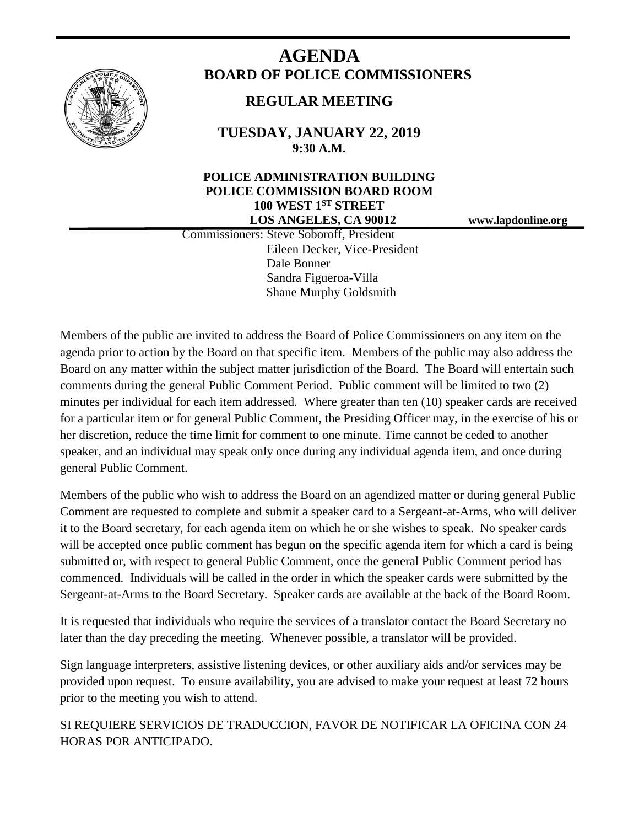

# **AGENDA BOARD OF POLICE COMMISSIONERS**

# **REGULAR MEETING**

**TUESDAY, JANUARY 22, 2019 9:30 A.M.**

# **POLICE ADMINISTRATION BUILDING POLICE COMMISSION BOARD ROOM 100 WEST 1ST STREET LOS ANGELES, CA 90012 www.lapdonline.org**

 Commissioners: Steve Soboroff, President Eileen Decker, Vice-President Dale Bonner Sandra Figueroa-Villa Shane Murphy Goldsmith

Members of the public are invited to address the Board of Police Commissioners on any item on the agenda prior to action by the Board on that specific item. Members of the public may also address the Board on any matter within the subject matter jurisdiction of the Board. The Board will entertain such comments during the general Public Comment Period. Public comment will be limited to two (2) minutes per individual for each item addressed. Where greater than ten (10) speaker cards are received for a particular item or for general Public Comment, the Presiding Officer may, in the exercise of his or her discretion, reduce the time limit for comment to one minute. Time cannot be ceded to another speaker, and an individual may speak only once during any individual agenda item, and once during general Public Comment.

Members of the public who wish to address the Board on an agendized matter or during general Public Comment are requested to complete and submit a speaker card to a Sergeant-at-Arms, who will deliver it to the Board secretary, for each agenda item on which he or she wishes to speak. No speaker cards will be accepted once public comment has begun on the specific agenda item for which a card is being submitted or, with respect to general Public Comment, once the general Public Comment period has commenced. Individuals will be called in the order in which the speaker cards were submitted by the Sergeant-at-Arms to the Board Secretary. Speaker cards are available at the back of the Board Room.

It is requested that individuals who require the services of a translator contact the Board Secretary no later than the day preceding the meeting. Whenever possible, a translator will be provided.

Sign language interpreters, assistive listening devices, or other auxiliary aids and/or services may be provided upon request. To ensure availability, you are advised to make your request at least 72 hours prior to the meeting you wish to attend.

SI REQUIERE SERVICIOS DE TRADUCCION, FAVOR DE NOTIFICAR LA OFICINA CON 24 HORAS POR ANTICIPADO.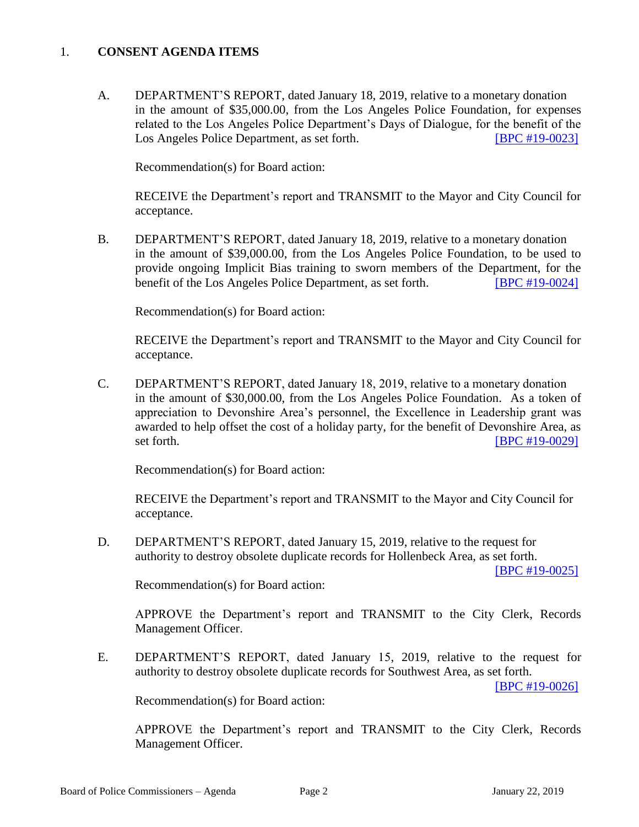## 1. **CONSENT AGENDA ITEMS**

A. DEPARTMENT'S REPORT, dated January 18, 2019, relative to a monetary donation in the amount of \$35,000.00, from the Los Angeles Police Foundation, for expenses related to the Los Angeles Police Department's Days of Dialogue, for the benefit of the Los Angeles Police Department, as set forth. [\[BPC #19-0023\]](http://www.lapdpolicecom.lacity.org/012219/BPC_19-0023.pdf)

Recommendation(s) for Board action:

RECEIVE the Department's report and TRANSMIT to the Mayor and City Council for acceptance.

B. DEPARTMENT'S REPORT, dated January 18, 2019, relative to a monetary donation in the amount of \$39,000.00, from the Los Angeles Police Foundation, to be used to provide ongoing Implicit Bias training to sworn members of the Department, for the benefit of the Los Angeles Police Department, as set forth. **[\[BPC #19-0024\]](http://www.lapdpolicecom.lacity.org/012219/BPC_19-0024.pdf)** 

Recommendation(s) for Board action:

RECEIVE the Department's report and TRANSMIT to the Mayor and City Council for acceptance.

C. DEPARTMENT'S REPORT, dated January 18, 2019, relative to a monetary donation in the amount of \$30,000.00, from the Los Angeles Police Foundation. As a token of appreciation to Devonshire Area's personnel, the Excellence in Leadership grant was awarded to help offset the cost of a holiday party, for the benefit of Devonshire Area, as set forth. **IBPC** #19-0029]

Recommendation(s) for Board action:

RECEIVE the Department's report and TRANSMIT to the Mayor and City Council for acceptance.

D. DEPARTMENT'S REPORT, dated January 15, 2019, relative to the request for authority to destroy obsolete duplicate records for Hollenbeck Area, as set forth.

[\[BPC #19-0025\]](http://www.lapdpolicecom.lacity.org/012219/BPC_19-0025.pdf)

Recommendation(s) for Board action:

APPROVE the Department's report and TRANSMIT to the City Clerk, Records Management Officer.

E. DEPARTMENT'S REPORT, dated January 15, 2019, relative to the request for authority to destroy obsolete duplicate records for Southwest Area, as set forth.

[\[BPC #19-0026\]](http://www.lapdpolicecom.lacity.org/012219/BPC_19-0026.pdf)

Recommendation(s) for Board action:

APPROVE the Department's report and TRANSMIT to the City Clerk, Records Management Officer.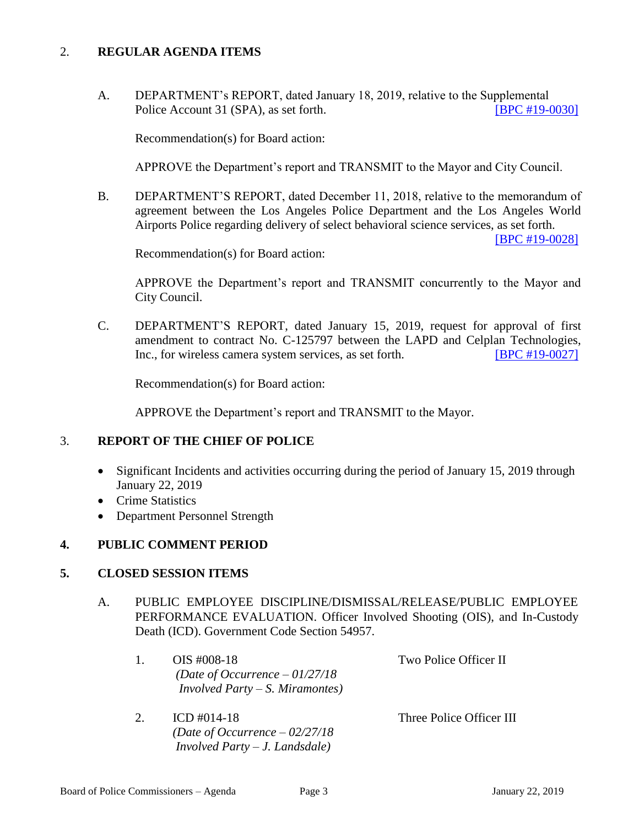## 2. **REGULAR AGENDA ITEMS**

A. DEPARTMENT's REPORT, dated January 18, 2019, relative to the Supplemental Police Account 31 (SPA), as set forth. **[\[BPC #19-0030\]](http://www.lapdpolicecom.lacity.org/012219/BPC_19-0030.pdf)** 

Recommendation(s) for Board action:

APPROVE the Department's report and TRANSMIT to the Mayor and City Council.

B. DEPARTMENT'S REPORT, dated December 11, 2018, relative to the memorandum of agreement between the Los Angeles Police Department and the Los Angeles World Airports Police regarding delivery of select behavioral science services, as set forth.

[\[BPC #19-0028\]](http://www.lapdpolicecom.lacity.org/012219/BPC_19-0028.pdf)

Recommendation(s) for Board action:

APPROVE the Department's report and TRANSMIT concurrently to the Mayor and City Council.

C. DEPARTMENT'S REPORT, dated January 15, 2019, request for approval of first amendment to contract No. C-125797 between the LAPD and Celplan Technologies, Inc., for wireless camera system services, as set forth. [\[BPC #19-0027\]](http://www.lapdpolicecom.lacity.org/012219/BPC_19-0027.pdf)

Recommendation(s) for Board action:

APPROVE the Department's report and TRANSMIT to the Mayor.

#### 3. **REPORT OF THE CHIEF OF POLICE**

- Significant Incidents and activities occurring during the period of January 15, 2019 through January 22, 2019
- Crime Statistics
- Department Personnel Strength

#### **4. PUBLIC COMMENT PERIOD**

#### **5. CLOSED SESSION ITEMS**

A. PUBLIC EMPLOYEE DISCIPLINE/DISMISSAL/RELEASE/PUBLIC EMPLOYEE PERFORMANCE EVALUATION. Officer Involved Shooting (OIS), and In-Custody Death (ICD). Government Code Section 54957.

|  | OIS #008-18                             | Two Police Officer II    |
|--|-----------------------------------------|--------------------------|
|  | (Date of Occurrence $-01/27/18$ )       |                          |
|  | <i>Involved Party – S. Miramontes</i> ) |                          |
|  |                                         |                          |
|  | ICD #014-18                             | Three Police Officer III |

*(Date of Occurrence – 02/27/18 Involved Party – J. Landsdale)*